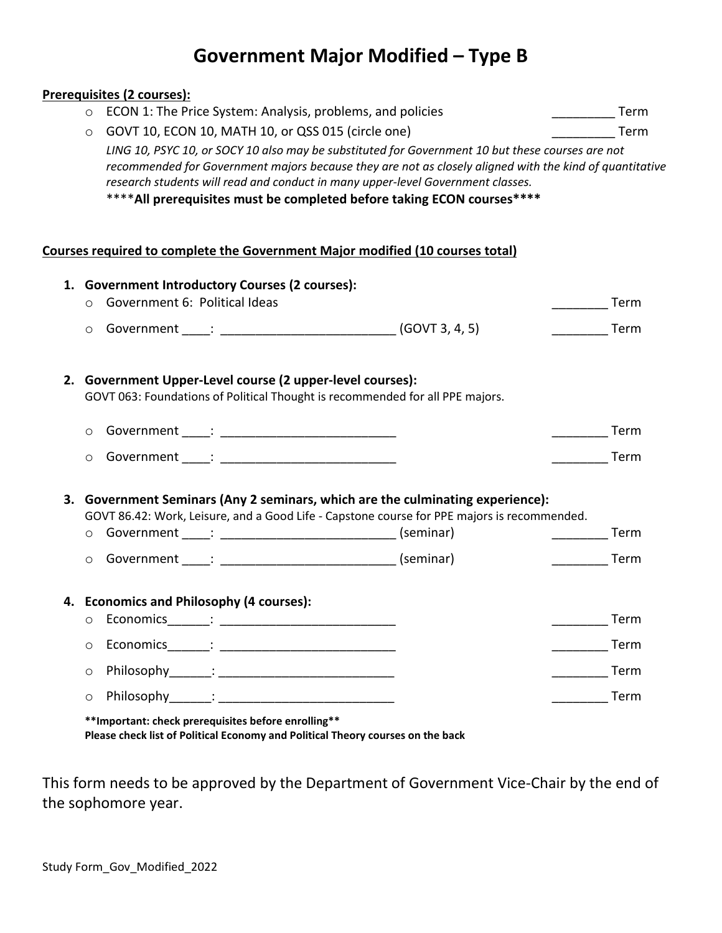# **Government Major Modified – Type B**

## **Prerequisites (2 courses):**

| $\circ$ ECON 1: The Price System: Analysis, problems, and policies                                      | Term |  |  |  |  |
|---------------------------------------------------------------------------------------------------------|------|--|--|--|--|
| ○ GOVT 10, ECON 10, MATH 10, or QSS 015 (circle one)                                                    | Term |  |  |  |  |
| LING 10, PSYC 10, or SOCY 10 also may be substituted for Government 10 but these courses are not        |      |  |  |  |  |
| recommended for Government majors because they are not as closely aligned with the kind of quantitative |      |  |  |  |  |
| research students will read and conduct in many upper-level Government classes.                         |      |  |  |  |  |

\*\*\*\***All prerequisites must be completed before taking ECON courses\*\*\*\***

### **Courses required to complete the Government Major modified (10 courses total)**

| 1. | <b>Government Introductory Courses (2 courses):</b> |                                                                                                                                         |  |                                                                               |                                                                                                                                                                            |                   |      |  |
|----|-----------------------------------------------------|-----------------------------------------------------------------------------------------------------------------------------------------|--|-------------------------------------------------------------------------------|----------------------------------------------------------------------------------------------------------------------------------------------------------------------------|-------------------|------|--|
|    | $\circ$                                             | Government 6: Political Ideas                                                                                                           |  |                                                                               |                                                                                                                                                                            |                   | Term |  |
|    | $\circ$                                             |                                                                                                                                         |  |                                                                               |                                                                                                                                                                            |                   | Term |  |
|    |                                                     | 2. Government Upper-Level course (2 upper-level courses):                                                                               |  | GOVT 063: Foundations of Political Thought is recommended for all PPE majors. |                                                                                                                                                                            |                   |      |  |
|    | $\circ$                                             |                                                                                                                                         |  |                                                                               |                                                                                                                                                                            |                   | Term |  |
|    | $\circ$                                             |                                                                                                                                         |  |                                                                               |                                                                                                                                                                            |                   | Term |  |
| 3. | $\circ$<br>$\circ$                                  |                                                                                                                                         |  |                                                                               | Government Seminars (Any 2 seminars, which are the culminating experience):<br>GOVT 86.42: Work, Leisure, and a Good Life - Capstone course for PPE majors is recommended. | <b>Term</b>       | Term |  |
|    | 4. Economics and Philosophy (4 courses):            |                                                                                                                                         |  |                                                                               |                                                                                                                                                                            |                   |      |  |
|    | $\circ$                                             |                                                                                                                                         |  |                                                                               |                                                                                                                                                                            |                   | Term |  |
|    | $\circ$                                             |                                                                                                                                         |  |                                                                               |                                                                                                                                                                            | _____________Term |      |  |
|    | $\circ$                                             |                                                                                                                                         |  |                                                                               |                                                                                                                                                                            | _______  Term     |      |  |
|    | $\circ$                                             |                                                                                                                                         |  |                                                                               |                                                                                                                                                                            |                   | Term |  |
|    |                                                     | ** Important: check prerequisites before enrolling**<br>Please check list of Political Economy and Political Theory courses on the back |  |                                                                               |                                                                                                                                                                            |                   |      |  |

This form needs to be approved by the Department of Government Vice-Chair by the end of the sophomore year.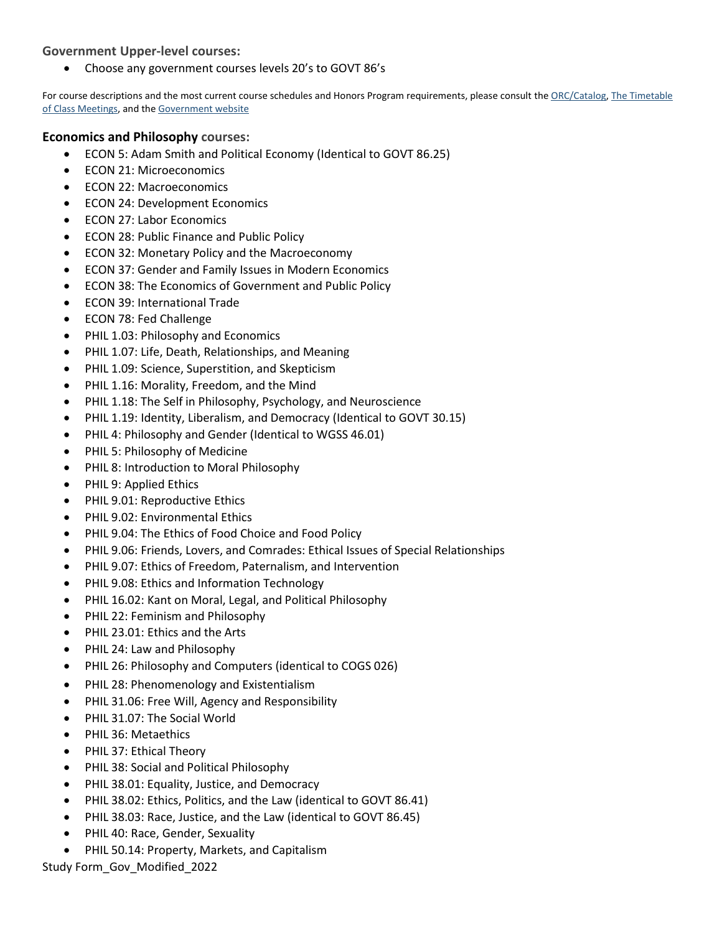## **Government Upper-level courses:**

• Choose any government courses levels 20's to GOVT 86's

For course descriptions and the most current course schedules and Honors Program requirements, please consult th[e ORC/Catalog,](http://dartmouth.smartcatalogiq.com/en/current/orc/Departments-Programs-Undergraduate/Government) The Timetable [of Class Meetings,](https://oracle-www.dartmouth.edu/dart/groucho/timetable.main) and th[e Government website](https://govt.dartmouth.edu/undergraduate/courses)

## **Economics and Philosophy courses:**

- ECON 5: Adam Smith and Political Economy (Identical to GOVT 86.25)
- ECON 21: Microeconomics
- ECON 22: Macroeconomics
- ECON 24: Development Economics
- ECON 27: Labor Economics
- ECON 28: Public Finance and Public Policy
- ECON 32: Monetary Policy and the Macroeconomy
- ECON 37: Gender and Family Issues in Modern Economics
- ECON 38: The Economics of Government and Public Policy
- ECON 39: International Trade
- ECON 78: Fed Challenge
- PHIL 1.03: Philosophy and Economics
- PHIL 1.07: Life, Death, Relationships, and Meaning
- PHIL 1.09: Science, Superstition, and Skepticism
- PHIL 1.16: Morality, Freedom, and the Mind
- PHIL 1.18: The Self in Philosophy, Psychology, and Neuroscience
- PHIL 1.19: Identity, Liberalism, and Democracy (Identical to GOVT 30.15)
- PHIL 4: Philosophy and Gender (Identical to WGSS 46.01)
- PHIL 5: Philosophy of Medicine
- PHIL 8: Introduction to Moral Philosophy
- PHIL 9: Applied Ethics
- PHIL 9.01: Reproductive Ethics
- PHIL 9.02: Environmental Ethics
- PHIL 9.04: The Ethics of Food Choice and Food Policy
- PHIL 9.06: Friends, Lovers, and Comrades: Ethical Issues of Special Relationships
- PHIL 9.07: Ethics of Freedom, Paternalism, and Intervention
- PHIL 9.08: Ethics and Information Technology
- PHIL 16.02: Kant on Moral, Legal, and Political Philosophy
- PHIL 22: Feminism and Philosophy
- PHIL 23.01: Ethics and the Arts
- PHIL 24: Law and Philosophy
- PHIL 26: Philosophy and Computers (identical to COGS 026)
- PHIL 28: Phenomenology and Existentialism
- PHIL 31.06: Free Will, Agency and Responsibility
- PHIL 31.07: The Social World
- PHIL 36: Metaethics
- PHIL 37: Ethical Theory
- PHIL 38: Social and Political Philosophy
- PHIL 38.01: Equality, Justice, and Democracy
- PHIL 38.02: Ethics, Politics, and the Law (identical to GOVT 86.41)
- PHIL 38.03: Race, Justice, and the Law (identical to GOVT 86.45)
- PHIL 40: Race, Gender, Sexuality
- PHIL 50.14: Property, Markets, and Capitalism

Study Form\_Gov\_Modified\_2022